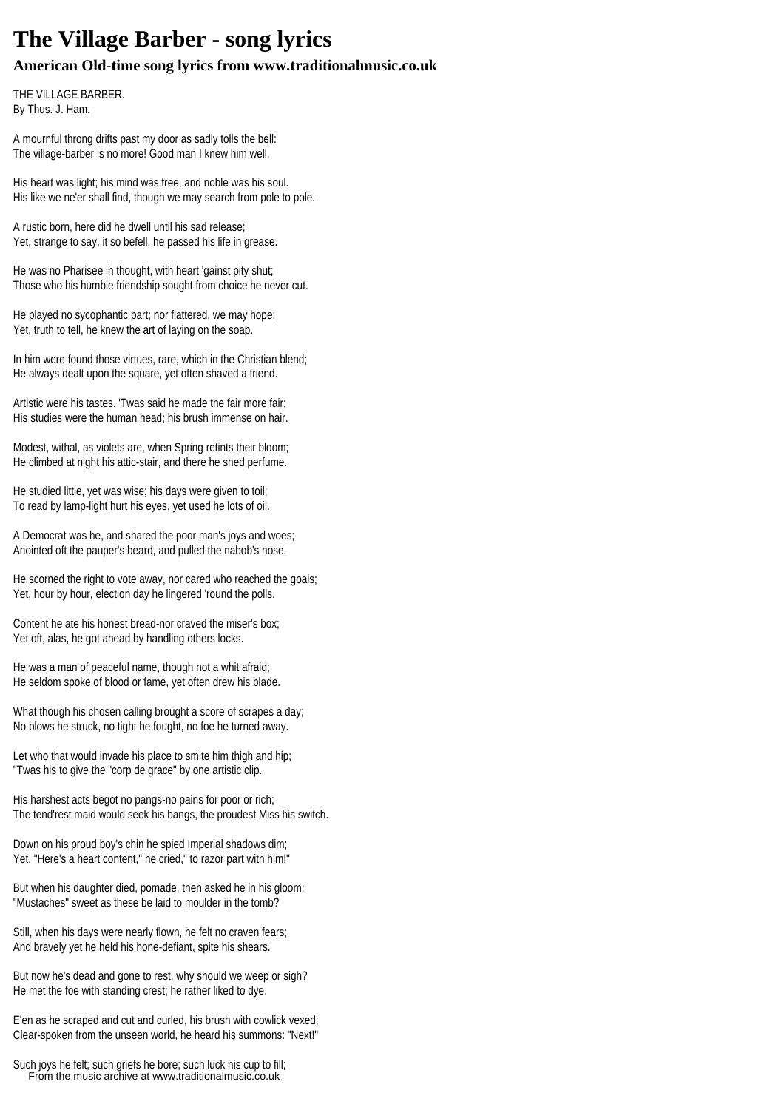## **The Village Barber - song lyrics**

## **American Old-time song lyrics from www.traditionalmusic.co.uk**

THE VILLAGE BARBER. By Thus. J. Ham.

A mournful throng drifts past my door as sadly tolls the bell: The village-barber is no more! Good man I knew him well.

His heart was light; his mind was free, and noble was his soul. His like we ne'er shall find, though we may search from pole to pole.

A rustic born, here did he dwell until his sad release; Yet, strange to say, it so befell, he passed his life in grease.

He was no Pharisee in thought, with heart 'gainst pity shut; Those who his humble friendship sought from choice he never cut.

He played no sycophantic part; nor flattered, we may hope; Yet, truth to tell, he knew the art of laying on the soap.

In him were found those virtues, rare, which in the Christian blend: He always dealt upon the square, yet often shaved a friend.

Artistic were his tastes. 'Twas said he made the fair more fair; His studies were the human head; his brush immense on hair.

Modest, withal, as violets are, when Spring retints their bloom; He climbed at night his attic-stair, and there he shed perfume.

He studied little, yet was wise; his days were given to toil; To read by lamp-light hurt his eyes, yet used he lots of oil.

A Democrat was he, and shared the poor man's joys and woes; Anointed oft the pauper's beard, and pulled the nabob's nose.

He scorned the right to vote away, nor cared who reached the goals; Yet, hour by hour, election day he lingered 'round the polls.

Content he ate his honest bread-nor craved the miser's box; Yet oft, alas, he got ahead by handling others locks.

He was a man of peaceful name, though not a whit afraid; He seldom spoke of blood or fame, yet often drew his blade.

What though his chosen calling brought a score of scrapes a day; No blows he struck, no tight he fought, no foe he turned away.

Let who that would invade his place to smite him thigh and hip; "Twas his to give the "corp de grace" by one artistic clip.

His harshest acts begot no pangs-no pains for poor or rich; The tend'rest maid would seek his bangs, the proudest Miss his switch.

Down on his proud boy's chin he spied Imperial shadows dim; Yet, "Here's a heart content," he cried," to razor part with him!"

But when his daughter died, pomade, then asked he in his gloom: "Mustaches" sweet as these be laid to moulder in the tomb?

Still, when his days were nearly flown, he felt no craven fears; And bravely yet he held his hone-defiant, spite his shears.

But now he's dead and gone to rest, why should we weep or sigh? He met the foe with standing crest; he rather liked to dye.

E'en as he scraped and cut and curled, his brush with cowlick vexed; Clear-spoken from the unseen world, he heard his summons: "Next!"

Such joys he felt; such griefs he bore; such luck his cup to fill; From the music archive at www.traditionalmusic.co.uk